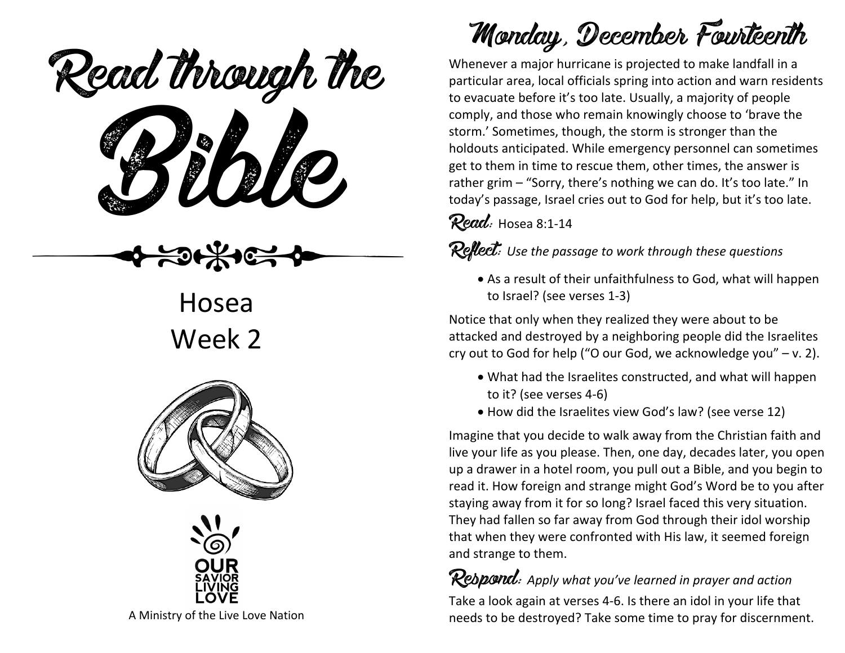Read through the



Hosea Week 2





A Ministry of the Live Love Nation

## Monday, December Fourteenth

Whenever a major hurricane is projected to make landfall in a particular area, local officials spring into action and warn residents to evacuate before it's too late. Usually, a majority of people comply, and those who remain knowingly choose to 'brave the storm.' Sometimes, though, the storm is stronger than the holdouts anticipated. While emergency personnel can sometimes get to them in time to rescue them, other times, the answer is rather grim – "Sorry, there's nothing we can do. It's too late." In today's passage, Israel cries out to God for help, but it's too late.

Read: Hosea 8:1-14

Reflect: *Use the passage to work through these questions*

• As a result of their unfaithfulness to God, what will happen to Israel? (see verses 1-3)

Notice that only when they realized they were about to be attacked and destroyed by a neighboring people did the Israelites cry out to God for help ("O our God, we acknowledge you" – v. 2).

- What had the Israelites constructed, and what will happen to it? (see verses 4-6)
- How did the Israelites view God's law? (see verse 12)

Imagine that you decide to walk away from the Christian faith and live your life as you please. Then, one day, decades later, you open up a drawer in a hotel room, you pull out a Bible, and you begin to read it. How foreign and strange might God's Word be to you after staying away from it for so long? Israel faced this very situation. They had fallen so far away from God through their idol worship that when they were confronted with His law, it seemed foreign and strange to them.

Respond: *Apply what you've learned in prayer and action*

Take a look again at verses 4-6. Is there an idol in your life that needs to be destroyed? Take some time to pray for discernment.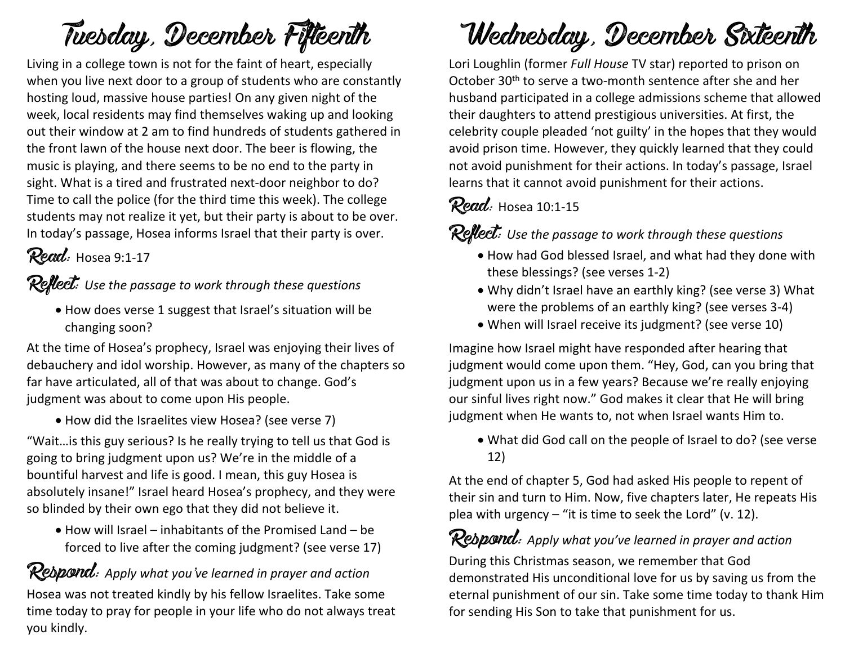## Tuesday, December Fifteenth

Living in a college town is not for the faint of heart, especially when you live next door to a group of students who are constantly hosting loud, massive house parties! On any given night of the week, local residents may find themselves waking up and looking out their window at 2 am to find hundreds of students gathered in the front lawn of the house next door. The beer is flowing, the music is playing, and there seems to be no end to the party in sight. What is a tired and frustrated next-door neighbor to do? Time to call the police (for the third time this week). The college students may not realize it yet, but their party is about to be over. In today's passage, Hosea informs Israel that their party is over.

Read: Hosea 9:1-17

#### Reflect: *Use the passage to work through these questions*

• How does verse 1 suggest that Israel's situation will be changing soon?

At the time of Hosea's prophecy, Israel was enjoying their lives of debauchery and idol worship. However, as many of the chapters so far have articulated, all of that was about to change. God's judgment was about to come upon His people.

• How did the Israelites view Hosea? (see verse 7)

"Wait…is this guy serious? Is he really trying to tell us that God is going to bring judgment upon us? We're in the middle of a bountiful harvest and life is good. I mean, this guy Hosea is absolutely insane!" Israel heard Hosea's prophecy, and they were so blinded by their own ego that they did not believe it.

• How will Israel – inhabitants of the Promised Land – be forced to live after the coming judgment? (see verse 17)

Respond: *Apply what you've learned in prayer and action* Hosea was not treated kindly by his fellow Israelites. Take some time today to pray for people in your life who do not always treat you kindly.

# Wednesday, December Sixteenth

Lori Loughlin (former *Full House* TV star) reported to prison on October 30th to serve a two-month sentence after she and her husband participated in a college admissions scheme that allowed their daughters to attend prestigious universities. At first, the celebrity couple pleaded 'not guilty' in the hopes that they would avoid prison time. However, they quickly learned that they could not avoid punishment for their actions. In today's passage, Israel learns that it cannot avoid punishment for their actions.

### Read: Hosea 10:1-15

Reflect: *Use the passage to work through these questions*

- How had God blessed Israel, and what had they done with these blessings? (see verses 1-2)
- Why didn't Israel have an earthly king? (see verse 3) What were the problems of an earthly king? (see verses 3-4)
- When will Israel receive its judgment? (see verse 10)

Imagine how Israel might have responded after hearing that judgment would come upon them. "Hey, God, can you bring that judgment upon us in a few years? Because we're really enjoying our sinful lives right now." God makes it clear that He will bring judgment when He wants to, not when Israel wants Him to.

• What did God call on the people of Israel to do? (see verse 12)

At the end of chapter 5, God had asked His people to repent of their sin and turn to Him. Now, five chapters later, He repeats His plea with urgency – "it is time to seek the Lord" (v. 12).

#### **Respond:** Apply what you've learned in prayer and action

During this Christmas season, we remember that God demonstrated His unconditional love for us by saving us from the eternal punishment of our sin. Take some time today to thank Him for sending His Son to take that punishment for us.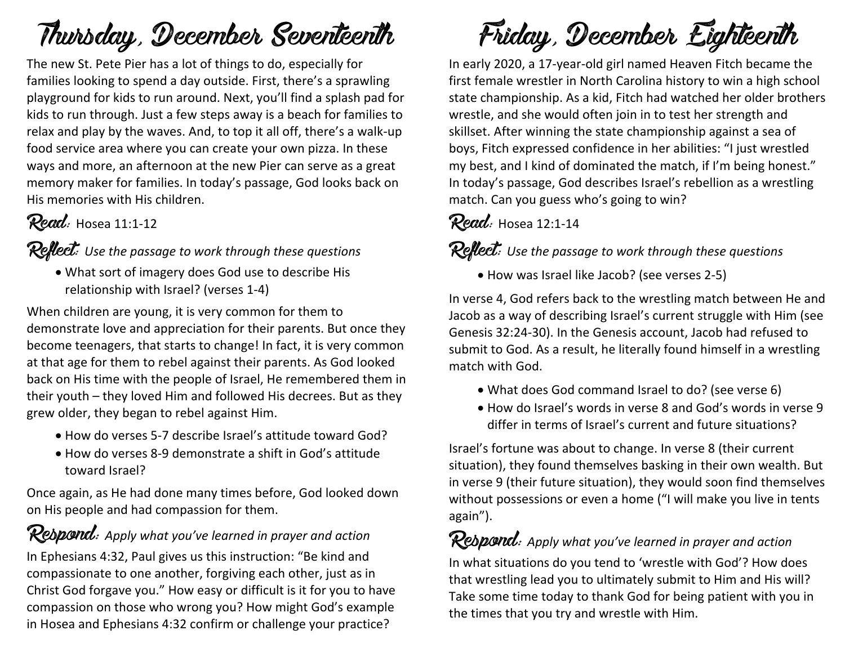## Thursday, December Seventeenth

The new St. Pete Pier has a lot of things to do, especially for families looking to spend a day outside. First, there's a sprawling playground for kids to run around. Next, you'll find a splash pad for kids to run through. Just a few steps away is a beach for families to relax and play by the waves. And, to top it all off, there's a walk-up food service area where you can create your own pizza. In these ways and more, an afternoon at the new Pier can serve as a great memory maker for families. In today's passage, God looks back on His memories with His children.

### Read: Hosea 11:1-12

Reflect: *Use the passage to work through these questions*

• What sort of imagery does God use to describe His relationship with Israel? (verses 1-4)

When children are young, it is very common for them to demonstrate love and appreciation for their parents. But once they become teenagers, that starts to change! In fact, it is very common at that age for them to rebel against their parents. As God looked back on His time with the people of Israel, He remembered them in their youth – they loved Him and followed His decrees. But as they grew older, they began to rebel against Him.

- How do verses 5-7 describe Israel's attitude toward God?
- How do verses 8-9 demonstrate a shift in God's attitude toward Israel?

Once again, as He had done many times before, God looked down on His people and had compassion for them.

Rebpond: Apply what you've learned in prayer and action In Ephesians 4:32, Paul gives us this instruction: "Be kind and compassionate to one another, forgiving each other, just as in Christ God forgave you." How easy or difficult is it for you to have compassion on those who wrong you? How might God's example in Hosea and Ephesians 4:32 confirm or challenge your practice?

Friday, December Eighteenth

In early 2020, a 17-year-old girl named Heaven Fitch became the first female wrestler in North Carolina history to win a high school state championship. As a kid, Fitch had watched her older brothers wrestle, and she would often join in to test her strength and skillset. After winning the state championship against a sea of boys, Fitch expressed confidence in her abilities: "I just wrestled my best, and I kind of dominated the match, if I'm being honest." In today's passage, God describes Israel's rebellion as a wrestling match. Can you guess who's going to win?

#### Read: Hosea 12:1-14

Reflect: *Use the passage to work through these questions*

• How was Israel like Jacob? (see verses 2-5)

In verse 4, God refers back to the wrestling match between He and Jacob as a way of describing Israel's current struggle with Him (see Genesis 32:24-30). In the Genesis account, Jacob had refused to submit to God. As a result, he literally found himself in a wrestling match with God.

- What does God command Israel to do? (see verse 6)
- How do Israel's words in verse 8 and God's words in verse 9 differ in terms of Israel's current and future situations?

Israel's fortune was about to change. In verse 8 (their current situation), they found themselves basking in their own wealth. But in verse 9 (their future situation), they would soon find themselves without possessions or even a home ("I will make you live in tents again").

Rebpond: Apply what you've learned in prayer and action In what situations do you tend to 'wrestle with God'? How does that wrestling lead you to ultimately submit to Him and His will? Take some time today to thank God for being patient with you in the times that you try and wrestle with Him.